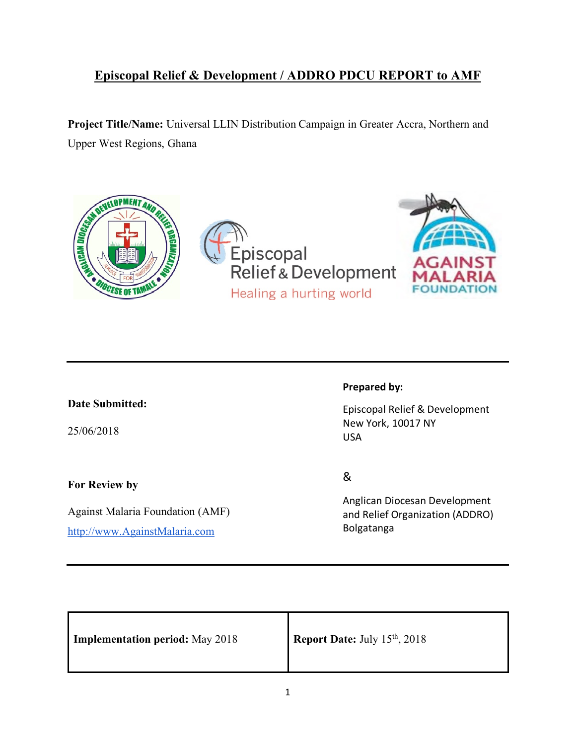# **Episcopal Relief & Development / ADDRO PDCU REPORT to AMF**

**Project Title/Name:** Universal LLIN Distribution Campaign in Greater Accra, Northern and Upper West Regions, Ghana



### **Date Submitted:**

25/06/2018

**For Review by** 

Against Malaria Foundation (AMF) http://www.AgainstMalaria.com

### **Prepared by:**

Episcopal Relief & Development New York, 10017 NY USA

&

Anglican Diocesan Development and Relief Organization (ADDRO) Bolgatanga

| <b>Implementation period:</b> May 2018 | Report Date: July 15th, 2018 |
|----------------------------------------|------------------------------|
|----------------------------------------|------------------------------|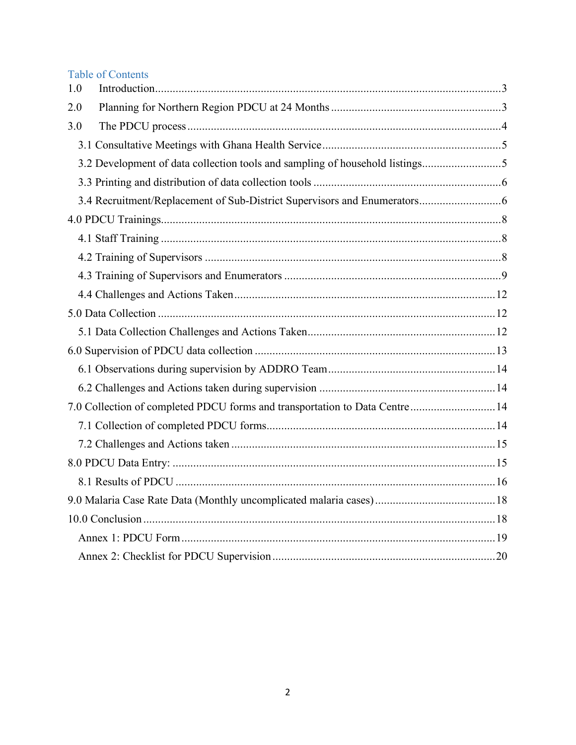# **Table of Contents**

| 1.0 |                                                                              |  |
|-----|------------------------------------------------------------------------------|--|
| 2.0 |                                                                              |  |
| 3.0 |                                                                              |  |
|     |                                                                              |  |
|     | 3.2 Development of data collection tools and sampling of household listings5 |  |
|     |                                                                              |  |
|     |                                                                              |  |
|     |                                                                              |  |
|     |                                                                              |  |
|     |                                                                              |  |
|     |                                                                              |  |
|     |                                                                              |  |
|     |                                                                              |  |
|     |                                                                              |  |
|     |                                                                              |  |
|     |                                                                              |  |
|     |                                                                              |  |
|     | 7.0 Collection of completed PDCU forms and transportation to Data Centre 14  |  |
|     |                                                                              |  |
|     |                                                                              |  |
|     |                                                                              |  |
|     |                                                                              |  |
|     |                                                                              |  |
|     |                                                                              |  |
|     |                                                                              |  |
|     |                                                                              |  |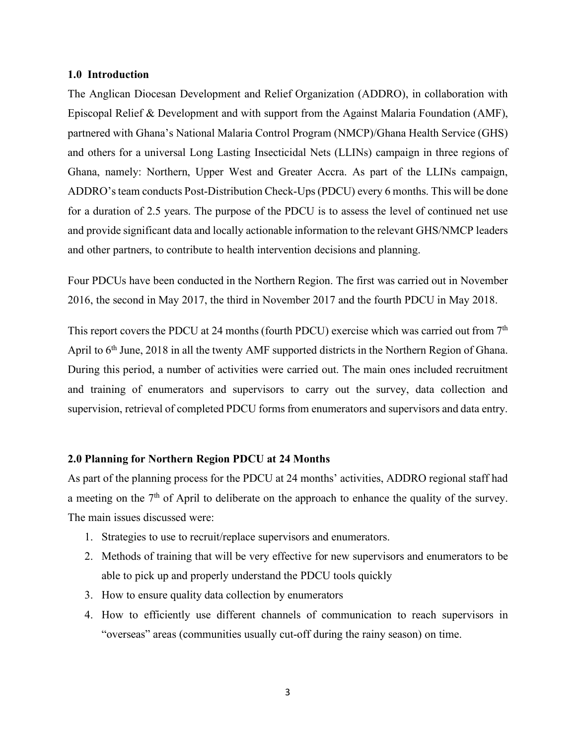#### **1.0 Introduction**

The Anglican Diocesan Development and Relief Organization (ADDRO), in collaboration with Episcopal Relief & Development and with support from the Against Malaria Foundation (AMF), partnered with Ghana's National Malaria Control Program (NMCP)/Ghana Health Service (GHS) and others for a universal Long Lasting Insecticidal Nets (LLINs) campaign in three regions of Ghana, namely: Northern, Upper West and Greater Accra. As part of the LLINs campaign, ADDRO's team conducts Post-Distribution Check-Ups (PDCU) every 6 months. This will be done for a duration of 2.5 years. The purpose of the PDCU is to assess the level of continued net use and provide significant data and locally actionable information to the relevant GHS/NMCP leaders and other partners, to contribute to health intervention decisions and planning.

Four PDCUs have been conducted in the Northern Region. The first was carried out in November 2016, the second in May 2017, the third in November 2017 and the fourth PDCU in May 2018.

This report covers the PDCU at 24 months (fourth PDCU) exercise which was carried out from 7<sup>th</sup> April to 6<sup>th</sup> June, 2018 in all the twenty AMF supported districts in the Northern Region of Ghana. During this period, a number of activities were carried out. The main ones included recruitment and training of enumerators and supervisors to carry out the survey, data collection and supervision, retrieval of completed PDCU forms from enumerators and supervisors and data entry.

#### **2.0 Planning for Northern Region PDCU at 24 Months**

As part of the planning process for the PDCU at 24 months' activities, ADDRO regional staff had a meeting on the  $7<sup>th</sup>$  of April to deliberate on the approach to enhance the quality of the survey. The main issues discussed were:

- 1. Strategies to use to recruit/replace supervisors and enumerators.
- 2. Methods of training that will be very effective for new supervisors and enumerators to be able to pick up and properly understand the PDCU tools quickly
- 3. How to ensure quality data collection by enumerators
- 4. How to efficiently use different channels of communication to reach supervisors in "overseas" areas (communities usually cut-off during the rainy season) on time.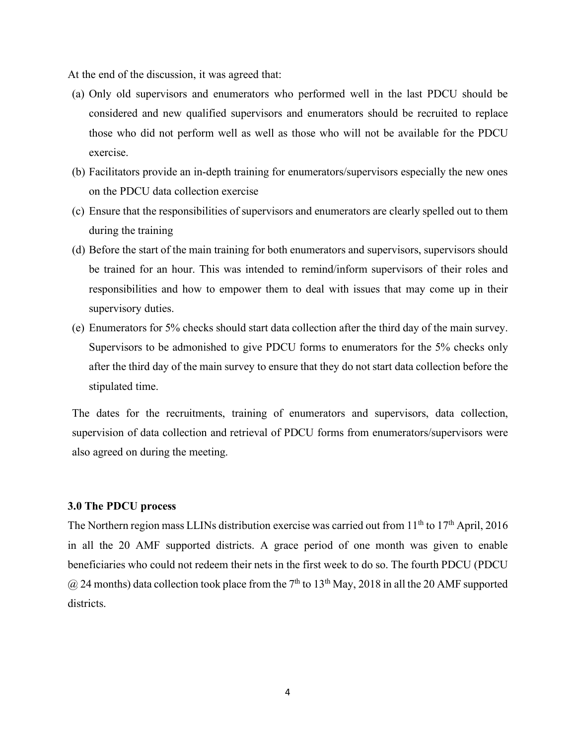At the end of the discussion, it was agreed that:

- (a) Only old supervisors and enumerators who performed well in the last PDCU should be considered and new qualified supervisors and enumerators should be recruited to replace those who did not perform well as well as those who will not be available for the PDCU exercise.
- (b) Facilitators provide an in-depth training for enumerators/supervisors especially the new ones on the PDCU data collection exercise
- (c) Ensure that the responsibilities of supervisors and enumerators are clearly spelled out to them during the training
- (d) Before the start of the main training for both enumerators and supervisors, supervisors should be trained for an hour. This was intended to remind/inform supervisors of their roles and responsibilities and how to empower them to deal with issues that may come up in their supervisory duties.
- (e) Enumerators for 5% checks should start data collection after the third day of the main survey. Supervisors to be admonished to give PDCU forms to enumerators for the 5% checks only after the third day of the main survey to ensure that they do not start data collection before the stipulated time.

The dates for the recruitments, training of enumerators and supervisors, data collection, supervision of data collection and retrieval of PDCU forms from enumerators/supervisors were also agreed on during the meeting.

#### **3.0 The PDCU process**

The Northern region mass LLINs distribution exercise was carried out from 11<sup>th</sup> to 17<sup>th</sup> April, 2016 in all the 20 AMF supported districts. A grace period of one month was given to enable beneficiaries who could not redeem their nets in the first week to do so. The fourth PDCU (PDCU  $(a)$  24 months) data collection took place from the 7<sup>th</sup> to 13<sup>th</sup> May, 2018 in all the 20 AMF supported districts.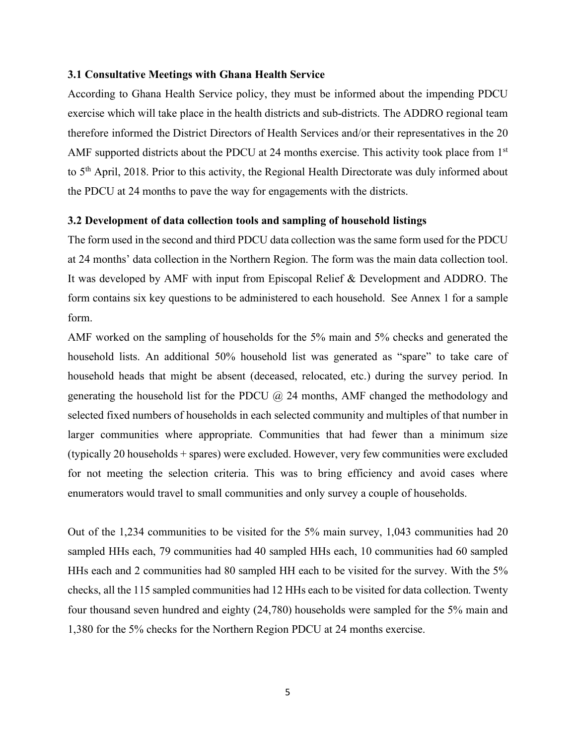#### **3.1 Consultative Meetings with Ghana Health Service**

According to Ghana Health Service policy, they must be informed about the impending PDCU exercise which will take place in the health districts and sub-districts. The ADDRO regional team therefore informed the District Directors of Health Services and/or their representatives in the 20 AMF supported districts about the PDCU at 24 months exercise. This activity took place from 1<sup>st</sup> to 5th April, 2018. Prior to this activity, the Regional Health Directorate was duly informed about the PDCU at 24 months to pave the way for engagements with the districts.

#### **3.2 Development of data collection tools and sampling of household listings**

The form used in the second and third PDCU data collection was the same form used for the PDCU at 24 months' data collection in the Northern Region. The form was the main data collection tool. It was developed by AMF with input from Episcopal Relief & Development and ADDRO. The form contains six key questions to be administered to each household. See Annex 1 for a sample form.

AMF worked on the sampling of households for the 5% main and 5% checks and generated the household lists. An additional 50% household list was generated as "spare" to take care of household heads that might be absent (deceased, relocated, etc.) during the survey period. In generating the household list for the PDCU  $\omega$  24 months, AMF changed the methodology and selected fixed numbers of households in each selected community and multiples of that number in larger communities where appropriate. Communities that had fewer than a minimum size (typically 20 households + spares) were excluded. However, very few communities were excluded for not meeting the selection criteria. This was to bring efficiency and avoid cases where enumerators would travel to small communities and only survey a couple of households.

Out of the 1,234 communities to be visited for the 5% main survey, 1,043 communities had 20 sampled HHs each, 79 communities had 40 sampled HHs each, 10 communities had 60 sampled HHs each and 2 communities had 80 sampled HH each to be visited for the survey. With the 5% checks, all the 115 sampled communities had 12 HHs each to be visited for data collection. Twenty four thousand seven hundred and eighty (24,780) households were sampled for the 5% main and 1,380 for the 5% checks for the Northern Region PDCU at 24 months exercise.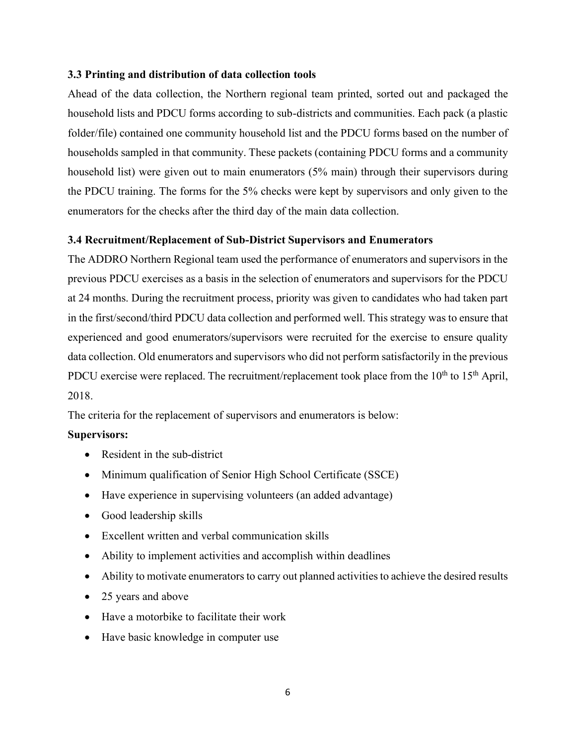### **3.3 Printing and distribution of data collection tools**

Ahead of the data collection, the Northern regional team printed, sorted out and packaged the household lists and PDCU forms according to sub-districts and communities. Each pack (a plastic folder/file) contained one community household list and the PDCU forms based on the number of households sampled in that community. These packets (containing PDCU forms and a community household list) were given out to main enumerators (5% main) through their supervisors during the PDCU training. The forms for the 5% checks were kept by supervisors and only given to the enumerators for the checks after the third day of the main data collection.

### **3.4 Recruitment/Replacement of Sub-District Supervisors and Enumerators**

The ADDRO Northern Regional team used the performance of enumerators and supervisors in the previous PDCU exercises as a basis in the selection of enumerators and supervisors for the PDCU at 24 months. During the recruitment process, priority was given to candidates who had taken part in the first/second/third PDCU data collection and performed well. This strategy was to ensure that experienced and good enumerators/supervisors were recruited for the exercise to ensure quality data collection. Old enumerators and supervisors who did not perform satisfactorily in the previous PDCU exercise were replaced. The recruitment/replacement took place from the  $10<sup>th</sup>$  to  $15<sup>th</sup>$  April, 2018.

The criteria for the replacement of supervisors and enumerators is below:

### **Supervisors:**

- Resident in the sub-district
- Minimum qualification of Senior High School Certificate (SSCE)
- Have experience in supervising volunteers (an added advantage)
- Good leadership skills
- Excellent written and verbal communication skills
- Ability to implement activities and accomplish within deadlines
- Ability to motivate enumerators to carry out planned activities to achieve the desired results
- 25 years and above
- Have a motorbike to facilitate their work
- Have basic knowledge in computer use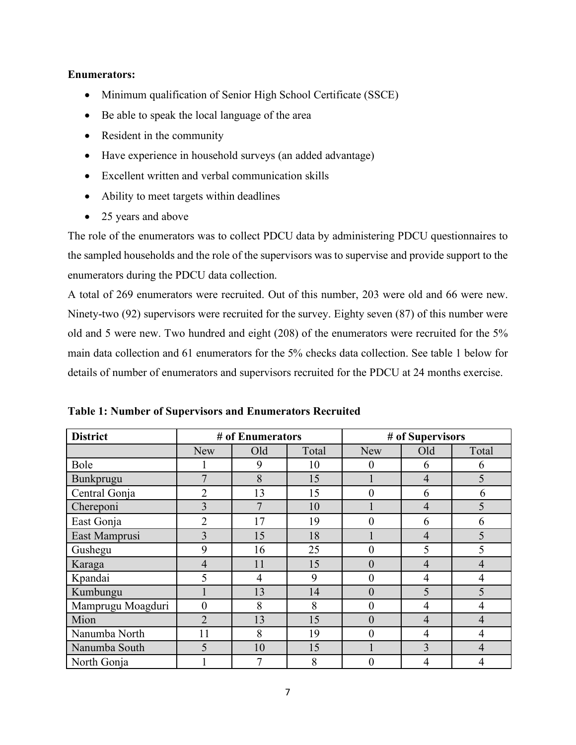### **Enumerators:**

- Minimum qualification of Senior High School Certificate (SSCE)
- Be able to speak the local language of the area
- Resident in the community
- Have experience in household surveys (an added advantage)
- Excellent written and verbal communication skills
- Ability to meet targets within deadlines
- 25 years and above

The role of the enumerators was to collect PDCU data by administering PDCU questionnaires to the sampled households and the role of the supervisors was to supervise and provide support to the enumerators during the PDCU data collection.

A total of 269 enumerators were recruited. Out of this number, 203 were old and 66 were new. Ninety-two (92) supervisors were recruited for the survey. Eighty seven (87) of this number were old and 5 were new. Two hundred and eight (208) of the enumerators were recruited for the 5% main data collection and 61 enumerators for the 5% checks data collection. See table 1 below for details of number of enumerators and supervisors recruited for the PDCU at 24 months exercise.

| <b>District</b>   |                | # of Enumerators |       | # of Supervisors |                |                |  |  |  |
|-------------------|----------------|------------------|-------|------------------|----------------|----------------|--|--|--|
|                   | <b>New</b>     | Old              | Total | <b>New</b>       | Old            | Total          |  |  |  |
| Bole              |                | 9                | 10    | $\overline{0}$   | 6              | 6              |  |  |  |
| Bunkprugu         | 7              | 8                | 15    |                  | $\overline{4}$ | 5              |  |  |  |
| Central Gonja     | $\overline{2}$ | 13               | 15    | 0                | 6              | 6              |  |  |  |
| Chereponi         | 3              | 7                | 10    |                  | $\overline{4}$ | 5              |  |  |  |
| East Gonja        | $\overline{2}$ | 17               | 19    | $\theta$         | 6              | 6              |  |  |  |
| East Mamprusi     | $\overline{3}$ | 15               | 18    |                  | $\overline{4}$ | 5              |  |  |  |
| Gushegu           | 9              | 16               | 25    | $\overline{0}$   | 5              | 5              |  |  |  |
| Karaga            | $\overline{4}$ | 11               | 15    | $\theta$         | $\overline{4}$ | $\overline{4}$ |  |  |  |
| Kpandai           | 5              | $\overline{4}$   | 9     | $\overline{0}$   | 4              | 4              |  |  |  |
| Kumbungu          |                | 13               | 14    | $\theta$         | 5              | 5              |  |  |  |
| Mamprugu Moagduri | $\overline{0}$ | 8                | 8     | $\overline{0}$   | 4              | 4              |  |  |  |
| Mion              | $\overline{2}$ | 13               | 15    | $\theta$         | $\overline{4}$ | $\overline{4}$ |  |  |  |
| Nanumba North     | 11             | 8                | 19    | 0                | $\overline{4}$ | $\overline{4}$ |  |  |  |
| Nanumba South     | 5              | 10               | 15    |                  | 3              | 4              |  |  |  |
| North Gonja       |                | 7                | 8     | 0                | 4              | 4              |  |  |  |

**Table 1: Number of Supervisors and Enumerators Recruited**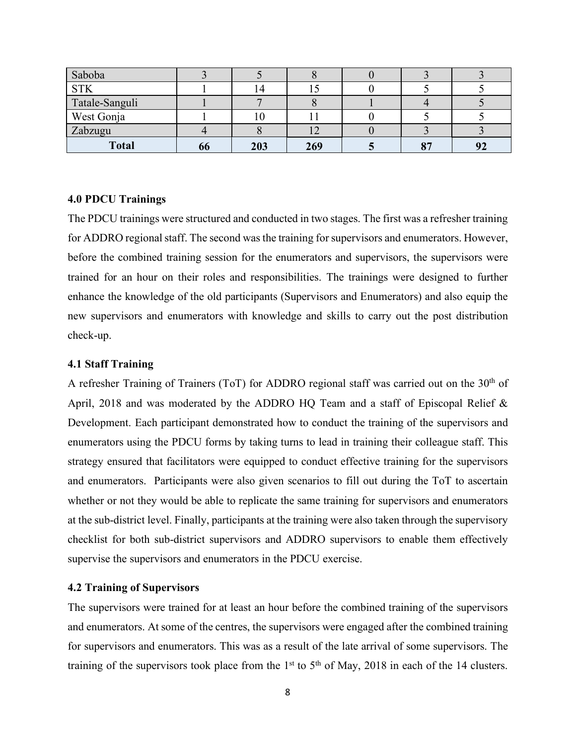| Saboba         |    |     |     |    |    |
|----------------|----|-----|-----|----|----|
| <b>STK</b>     |    |     |     |    |    |
| Tatale-Sanguli |    |     |     |    |    |
| West Gonja     |    |     |     |    |    |
| Zabzugu        |    |     |     |    |    |
| <b>Total</b>   | 00 | 203 | 269 | 87 | 9Z |

#### **4.0 PDCU Trainings**

The PDCU trainings were structured and conducted in two stages. The first was a refresher training for ADDRO regional staff. The second was the training for supervisors and enumerators. However, before the combined training session for the enumerators and supervisors, the supervisors were trained for an hour on their roles and responsibilities. The trainings were designed to further enhance the knowledge of the old participants (Supervisors and Enumerators) and also equip the new supervisors and enumerators with knowledge and skills to carry out the post distribution check-up.

#### **4.1 Staff Training**

A refresher Training of Trainers (ToT) for ADDRO regional staff was carried out on the  $30<sup>th</sup>$  of April, 2018 and was moderated by the ADDRO HQ Team and a staff of Episcopal Relief & Development. Each participant demonstrated how to conduct the training of the supervisors and enumerators using the PDCU forms by taking turns to lead in training their colleague staff. This strategy ensured that facilitators were equipped to conduct effective training for the supervisors and enumerators. Participants were also given scenarios to fill out during the ToT to ascertain whether or not they would be able to replicate the same training for supervisors and enumerators at the sub-district level. Finally, participants at the training were also taken through the supervisory checklist for both sub-district supervisors and ADDRO supervisors to enable them effectively supervise the supervisors and enumerators in the PDCU exercise.

#### **4.2 Training of Supervisors**

The supervisors were trained for at least an hour before the combined training of the supervisors and enumerators. At some of the centres, the supervisors were engaged after the combined training for supervisors and enumerators. This was as a result of the late arrival of some supervisors. The training of the supervisors took place from the 1<sup>st</sup> to 5<sup>th</sup> of May, 2018 in each of the 14 clusters.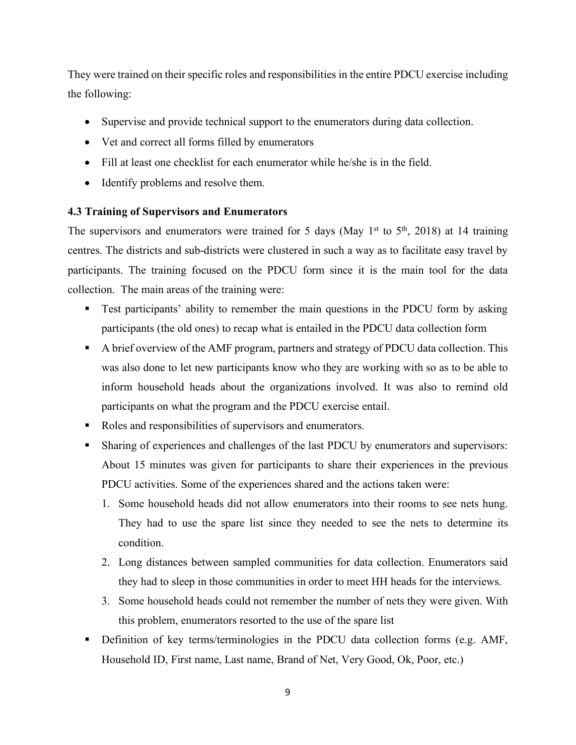They were trained on their specific roles and responsibilities in the entire PDCU exercise including the following:

- Supervise and provide technical support to the enumerators during data collection.
- Vet and correct all forms filled by enumerators
- Fill at least one checklist for each enumerator while he/she is in the field.
- Identify problems and resolve them.

### **4.3 Training of Supervisors and Enumerators**

The supervisors and enumerators were trained for 5 days (May 1<sup>st</sup> to  $5<sup>th</sup>$ , 2018) at 14 training centres. The districts and sub-districts were clustered in such a way as to facilitate easy travel by participants. The training focused on the PDCU form since it is the main tool for the data collection. The main areas of the training were:

- Test participants' ability to remember the main questions in the PDCU form by asking participants (the old ones) to recap what is entailed in the PDCU data collection form
- § A brief overview of the AMF program, partners and strategy of PDCU data collection. This was also done to let new participants know who they are working with so as to be able to inform household heads about the organizations involved. It was also to remind old participants on what the program and the PDCU exercise entail.
- Roles and responsibilities of supervisors and enumerators.
- Sharing of experiences and challenges of the last PDCU by enumerators and supervisors: About 15 minutes was given for participants to share their experiences in the previous PDCU activities. Some of the experiences shared and the actions taken were:
	- 1. Some household heads did not allow enumerators into their rooms to see nets hung. They had to use the spare list since they needed to see the nets to determine its condition.
	- 2. Long distances between sampled communities for data collection. Enumerators said they had to sleep in those communities in order to meet HH heads for the interviews.
	- 3. Some household heads could not remember the number of nets they were given. With this problem, enumerators resorted to the use of the spare list
- § Definition of key terms/terminologies in the PDCU data collection forms (e.g. AMF, Household ID, First name, Last name, Brand of Net, Very Good, Ok, Poor, etc.)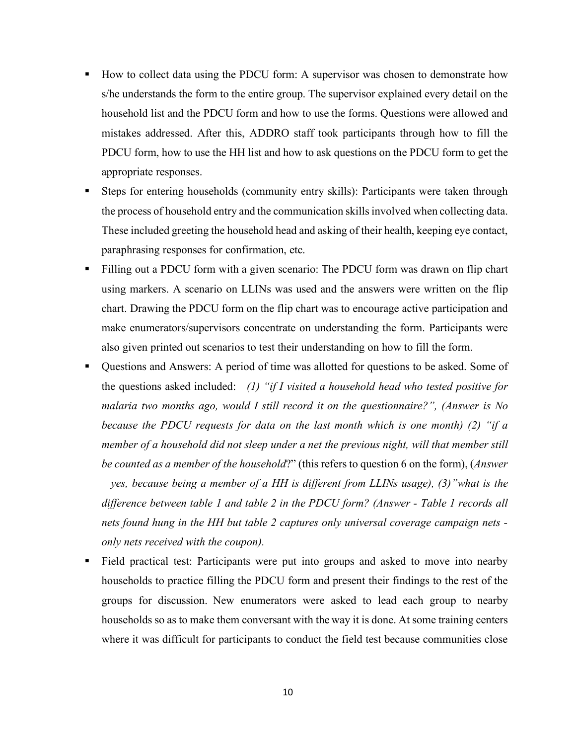- § How to collect data using the PDCU form: A supervisor was chosen to demonstrate how s/he understands the form to the entire group. The supervisor explained every detail on the household list and the PDCU form and how to use the forms. Questions were allowed and mistakes addressed. After this, ADDRO staff took participants through how to fill the PDCU form, how to use the HH list and how to ask questions on the PDCU form to get the appropriate responses.
- § Steps for entering households (community entry skills): Participants were taken through the process of household entry and the communication skills involved when collecting data. These included greeting the household head and asking of their health, keeping eye contact, paraphrasing responses for confirmation, etc.
- Filling out a PDCU form with a given scenario: The PDCU form was drawn on flip chart using markers. A scenario on LLINs was used and the answers were written on the flip chart. Drawing the PDCU form on the flip chart was to encourage active participation and make enumerators/supervisors concentrate on understanding the form. Participants were also given printed out scenarios to test their understanding on how to fill the form.
- Questions and Answers: A period of time was allotted for questions to be asked. Some of the questions asked included: *(1) "if I visited a household head who tested positive for malaria two months ago, would I still record it on the questionnaire?", (Answer is No because the PDCU requests for data on the last month which is one month) (2) "if a member of a household did not sleep under a net the previous night, will that member still be counted as a member of the household*?" (this refers to question 6 on the form), (*Answer – yes, because being a member of a HH is different from LLINs usage), (3)"what is the difference between table 1 and table 2 in the PDCU form? (Answer - Table 1 records all nets found hung in the HH but table 2 captures only universal coverage campaign nets only nets received with the coupon).*
- Field practical test: Participants were put into groups and asked to move into nearby households to practice filling the PDCU form and present their findings to the rest of the groups for discussion. New enumerators were asked to lead each group to nearby households so as to make them conversant with the way it is done. At some training centers where it was difficult for participants to conduct the field test because communities close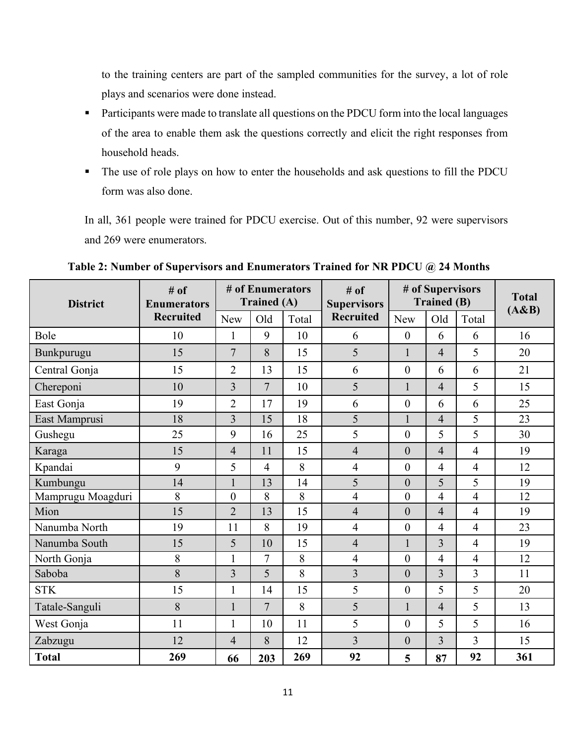to the training centers are part of the sampled communities for the survey, a lot of role plays and scenarios were done instead.

- Participants were made to translate all questions on the PDCU form into the local languages of the area to enable them ask the questions correctly and elicit the right responses from household heads.
- The use of role plays on how to enter the households and ask questions to fill the PDCU form was also done.

In all, 361 people were trained for PDCU exercise. Out of this number, 92 were supervisors and 269 were enumerators.

| <b>District</b>   | $#$ of<br><b>Enumerators</b> |                | # of Enumerators<br><b>Trained (A)</b> |       | # of<br><b>Supervisors</b> |                  | # of Supervisors<br><b>Trained (B)</b> | <b>Total</b><br>(A&B) |     |
|-------------------|------------------------------|----------------|----------------------------------------|-------|----------------------------|------------------|----------------------------------------|-----------------------|-----|
|                   | <b>Recruited</b>             | New            | Old                                    | Total | <b>Recruited</b>           | <b>New</b>       | Old                                    | Total                 |     |
| Bole              | 10                           | 1              | 9                                      | 10    | 6                          | $\boldsymbol{0}$ | 6                                      | 6                     | 16  |
| Bunkpurugu        | 15                           | $\overline{7}$ | 8                                      | 15    | 5                          | $\mathbf{1}$     | $\overline{4}$                         | 5                     | 20  |
| Central Gonja     | 15                           | $\overline{2}$ | 13                                     | 15    | 6                          | $\overline{0}$   | 6                                      | 6                     | 21  |
| Chereponi         | 10                           | $\overline{3}$ | $\overline{7}$                         | 10    | 5                          | $\mathbf{1}$     | $\overline{4}$                         | 5                     | 15  |
| East Gonja        | 19                           | $\overline{2}$ | 17                                     | 19    | 6                          | $\mathbf{0}$     | 6                                      | 6                     | 25  |
| East Mamprusi     | 18                           | $\overline{3}$ | 15                                     | 18    | $\overline{5}$             | $\mathbf{1}$     | $\overline{4}$                         | 5                     | 23  |
| Gushegu           | 25                           | 9              | 16                                     | 25    | 5                          | $\overline{0}$   | 5                                      | 5                     | 30  |
| Karaga            | 15                           | $\overline{4}$ | 11                                     | 15    | $\overline{4}$             | $\overline{0}$   | $\overline{4}$                         | $\overline{4}$        | 19  |
| Kpandai           | 9                            | 5              | $\overline{4}$                         | 8     | $\overline{4}$             | $\overline{0}$   | $\overline{4}$                         | $\overline{4}$        | 12  |
| Kumbungu          | 14                           |                | 13                                     | 14    | 5                          | $\overline{0}$   | 5                                      | 5                     | 19  |
| Mamprugu Moagduri | 8                            | $\overline{0}$ | 8                                      | 8     | $\overline{4}$             | $\overline{0}$   | $\overline{4}$                         | $\overline{4}$        | 12  |
| Mion              | 15                           | $\overline{2}$ | 13                                     | 15    | $\overline{4}$             | $\overline{0}$   | $\overline{4}$                         | $\overline{4}$        | 19  |
| Nanumba North     | 19                           | 11             | 8                                      | 19    | $\overline{4}$             | $\overline{0}$   | $\overline{4}$                         | $\overline{4}$        | 23  |
| Nanumba South     | 15                           | 5              | 10                                     | 15    | $\overline{4}$             | $\mathbf{1}$     | 3                                      | $\overline{4}$        | 19  |
| North Gonja       | 8                            | $\mathbf{1}$   | $\overline{7}$                         | 8     | $\overline{4}$             | $\overline{0}$   | $\overline{4}$                         | $\overline{4}$        | 12  |
| Saboba            | 8                            | $\overline{3}$ | 5                                      | 8     | $\overline{3}$             | $\overline{0}$   | $\overline{3}$                         | 3                     | 11  |
| <b>STK</b>        | 15                           | $\mathbf{1}$   | 14                                     | 15    | 5                          | $\overline{0}$   | 5                                      | 5                     | 20  |
| Tatale-Sanguli    | 8                            |                | $\overline{7}$                         | 8     | 5                          | $\mathbf{1}$     | $\overline{4}$                         | 5                     | 13  |
| West Gonja        | 11                           | 1              | 10                                     | 11    | 5                          | $\overline{0}$   | 5                                      | 5                     | 16  |
| Zabzugu           | 12                           | $\overline{4}$ | 8                                      | 12    | $\overline{3}$             | $\overline{0}$   | $\overline{3}$                         | 3                     | 15  |
| <b>Total</b>      | 269                          | 66             | 203                                    | 269   | 92                         | 5                | 87                                     | 92                    | 361 |

**Table 2: Number of Supervisors and Enumerators Trained for NR PDCU @ 24 Months**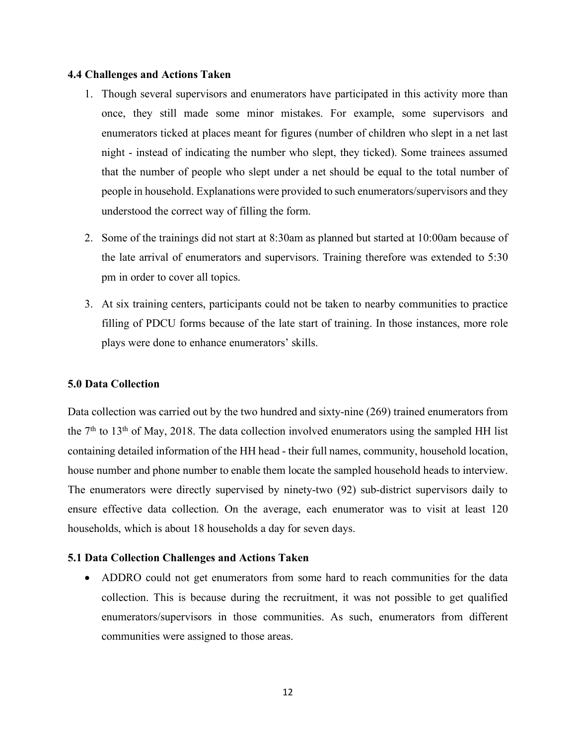#### **4.4 Challenges and Actions Taken**

- 1. Though several supervisors and enumerators have participated in this activity more than once, they still made some minor mistakes. For example, some supervisors and enumerators ticked at places meant for figures (number of children who slept in a net last night - instead of indicating the number who slept, they ticked). Some trainees assumed that the number of people who slept under a net should be equal to the total number of people in household. Explanations were provided to such enumerators/supervisors and they understood the correct way of filling the form.
- 2. Some of the trainings did not start at 8:30am as planned but started at 10:00am because of the late arrival of enumerators and supervisors. Training therefore was extended to 5:30 pm in order to cover all topics.
- 3. At six training centers, participants could not be taken to nearby communities to practice filling of PDCU forms because of the late start of training. In those instances, more role plays were done to enhance enumerators' skills.

### **5.0 Data Collection**

Data collection was carried out by the two hundred and sixty-nine (269) trained enumerators from the  $7<sup>th</sup>$  to 13<sup>th</sup> of May, 2018. The data collection involved enumerators using the sampled HH list containing detailed information of the HH head - their full names, community, household location, house number and phone number to enable them locate the sampled household heads to interview. The enumerators were directly supervised by ninety-two (92) sub-district supervisors daily to ensure effective data collection. On the average, each enumerator was to visit at least 120 households, which is about 18 households a day for seven days.

### **5.1 Data Collection Challenges and Actions Taken**

• ADDRO could not get enumerators from some hard to reach communities for the data collection. This is because during the recruitment, it was not possible to get qualified enumerators/supervisors in those communities. As such, enumerators from different communities were assigned to those areas.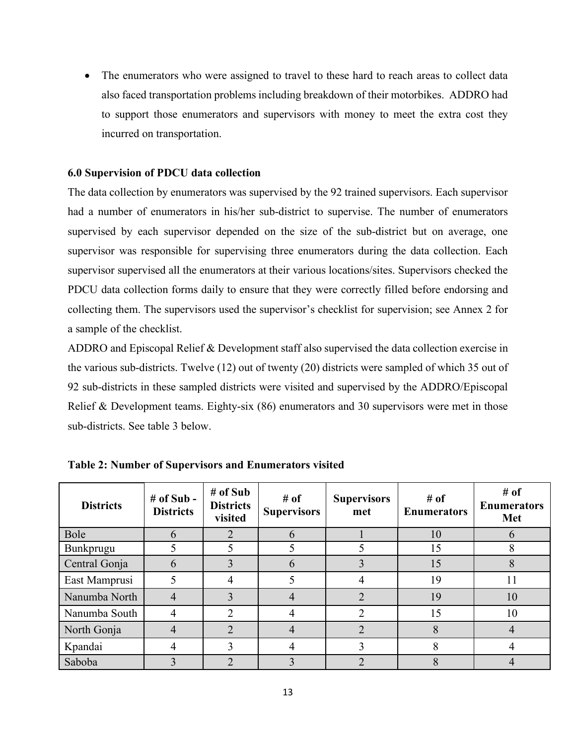• The enumerators who were assigned to travel to these hard to reach areas to collect data also faced transportation problems including breakdown of their motorbikes. ADDRO had to support those enumerators and supervisors with money to meet the extra cost they incurred on transportation.

### **6.0 Supervision of PDCU data collection**

The data collection by enumerators was supervised by the 92 trained supervisors. Each supervisor had a number of enumerators in his/her sub-district to supervise. The number of enumerators supervised by each supervisor depended on the size of the sub-district but on average, one supervisor was responsible for supervising three enumerators during the data collection. Each supervisor supervised all the enumerators at their various locations/sites. Supervisors checked the PDCU data collection forms daily to ensure that they were correctly filled before endorsing and collecting them. The supervisors used the supervisor's checklist for supervision; see Annex 2 for a sample of the checklist.

ADDRO and Episcopal Relief & Development staff also supervised the data collection exercise in the various sub-districts. Twelve (12) out of twenty (20) districts were sampled of which 35 out of 92 sub-districts in these sampled districts were visited and supervised by the ADDRO/Episcopal Relief & Development teams. Eighty-six (86) enumerators and 30 supervisors were met in those sub-districts. See table 3 below.

| <b>Districts</b> | $#$ of Sub -<br><b>Districts</b> | # of Sub<br><b>Districts</b><br>visited | # of<br><b>Supervisors</b> | <b>Supervisors</b><br>met | # of<br><b>Enumerators</b> | # of<br><b>Enumerators</b><br><b>Met</b> |
|------------------|----------------------------------|-----------------------------------------|----------------------------|---------------------------|----------------------------|------------------------------------------|
| Bole             | 6                                | $\overline{2}$                          | h                          |                           | 10                         |                                          |
| Bunkprugu        |                                  |                                         |                            |                           | 15                         |                                          |
| Central Gonja    | 6                                | 3                                       | 6                          |                           | 15                         |                                          |
| East Mamprusi    |                                  |                                         |                            |                           | 19                         |                                          |
| Nanumba North    |                                  | 3                                       | 4                          | 2                         | 19                         | 10                                       |
| Nanumba South    | 4                                | 2                                       | 4                          | 2                         | 15                         | 10                                       |
| North Gonja      |                                  | $\mathfrak{D}$                          |                            | 2                         | 8                          | 4                                        |
| Kpandai          |                                  | 3                                       |                            | 3                         | 8                          |                                          |
| Saboba           |                                  | 2                                       |                            | 2                         | 8                          |                                          |

**Table 2: Number of Supervisors and Enumerators visited**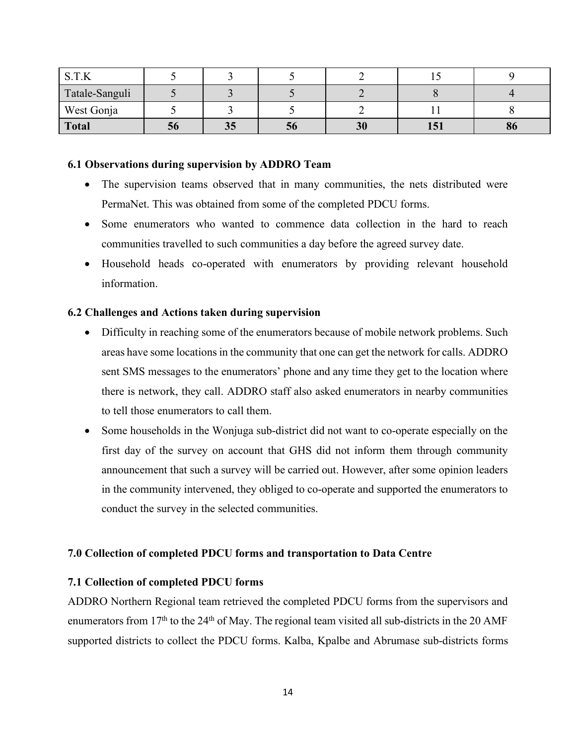| C T V          |    |    |    |    |     |    |
|----------------|----|----|----|----|-----|----|
| Tatale-Sanguli |    |    |    |    |     |    |
| West Gonja     |    |    |    |    |     |    |
| <b>Total</b>   | 20 | 35 | JО | 30 | ⊥J⊥ | 90 |

#### **6.1 Observations during supervision by ADDRO Team**

- The supervision teams observed that in many communities, the nets distributed were PermaNet. This was obtained from some of the completed PDCU forms.
- Some enumerators who wanted to commence data collection in the hard to reach communities travelled to such communities a day before the agreed survey date.
- Household heads co-operated with enumerators by providing relevant household information.

### **6.2 Challenges and Actions taken during supervision**

- Difficulty in reaching some of the enumerators because of mobile network problems. Such areas have some locations in the community that one can get the network for calls. ADDRO sent SMS messages to the enumerators' phone and any time they get to the location where there is network, they call. ADDRO staff also asked enumerators in nearby communities to tell those enumerators to call them.
- Some households in the Wonjuga sub-district did not want to co-operate especially on the first day of the survey on account that GHS did not inform them through community announcement that such a survey will be carried out. However, after some opinion leaders in the community intervened, they obliged to co-operate and supported the enumerators to conduct the survey in the selected communities.

### **7.0 Collection of completed PDCU forms and transportation to Data Centre**

### **7.1 Collection of completed PDCU forms**

ADDRO Northern Regional team retrieved the completed PDCU forms from the supervisors and enumerators from  $17<sup>th</sup>$  to the 24<sup>th</sup> of May. The regional team visited all sub-districts in the 20 AMF supported districts to collect the PDCU forms. Kalba, Kpalbe and Abrumase sub-districts forms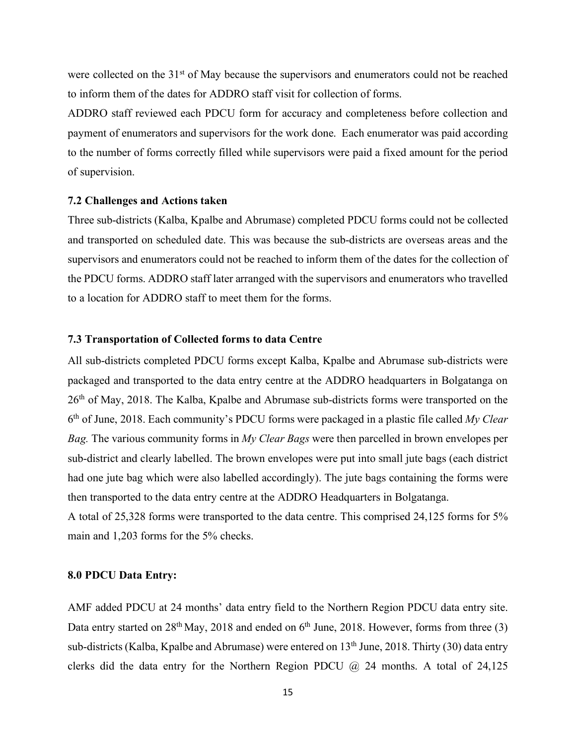were collected on the 31<sup>st</sup> of May because the supervisors and enumerators could not be reached to inform them of the dates for ADDRO staff visit for collection of forms.

ADDRO staff reviewed each PDCU form for accuracy and completeness before collection and payment of enumerators and supervisors for the work done. Each enumerator was paid according to the number of forms correctly filled while supervisors were paid a fixed amount for the period of supervision.

#### **7.2 Challenges and Actions taken**

Three sub-districts (Kalba, Kpalbe and Abrumase) completed PDCU forms could not be collected and transported on scheduled date. This was because the sub-districts are overseas areas and the supervisors and enumerators could not be reached to inform them of the dates for the collection of the PDCU forms. ADDRO staff later arranged with the supervisors and enumerators who travelled to a location for ADDRO staff to meet them for the forms.

#### **7.3 Transportation of Collected forms to data Centre**

All sub-districts completed PDCU forms except Kalba, Kpalbe and Abrumase sub-districts were packaged and transported to the data entry centre at the ADDRO headquarters in Bolgatanga on 26th of May, 2018. The Kalba, Kpalbe and Abrumase sub-districts forms were transported on the 6th of June, 2018. Each community's PDCU forms were packaged in a plastic file called *My Clear Bag.* The various community forms in *My Clear Bags* were then parcelled in brown envelopes per sub-district and clearly labelled. The brown envelopes were put into small jute bags (each district had one jute bag which were also labelled accordingly). The jute bags containing the forms were then transported to the data entry centre at the ADDRO Headquarters in Bolgatanga.

A total of 25,328 forms were transported to the data centre. This comprised 24,125 forms for 5% main and 1,203 forms for the 5% checks.

#### **8.0 PDCU Data Entry:**

AMF added PDCU at 24 months' data entry field to the Northern Region PDCU data entry site. Data entry started on  $28<sup>th</sup>$  May, 2018 and ended on  $6<sup>th</sup>$  June, 2018. However, forms from three (3) sub-districts (Kalba, Kpalbe and Abrumase) were entered on 13<sup>th</sup> June, 2018. Thirty (30) data entry clerks did the data entry for the Northern Region PDCU  $\omega$  24 months. A total of 24,125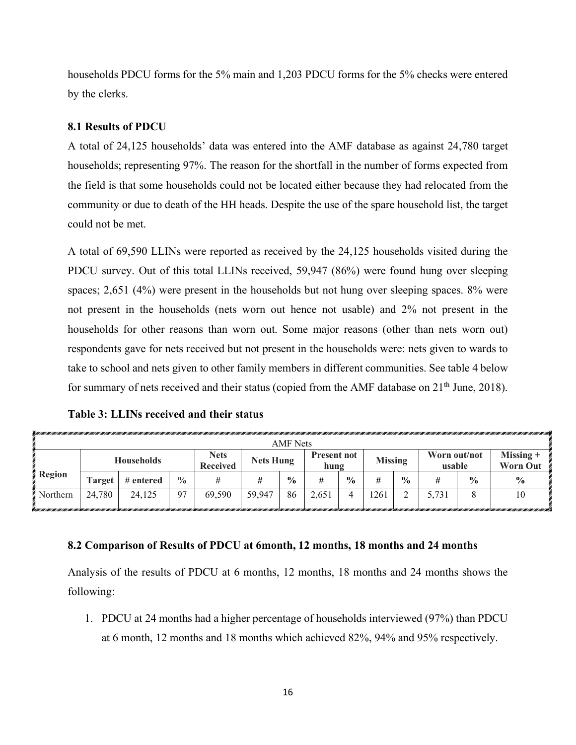households PDCU forms for the 5% main and 1,203 PDCU forms for the 5% checks were entered by the clerks.

### **8.1 Results of PDCU**

A total of 24,125 households' data was entered into the AMF database as against 24,780 target households; representing 97%. The reason for the shortfall in the number of forms expected from the field is that some households could not be located either because they had relocated from the community or due to death of the HH heads. Despite the use of the spare household list, the target could not be met.

A total of 69,590 LLINs were reported as received by the 24,125 households visited during the PDCU survey. Out of this total LLINs received, 59,947 (86%) were found hung over sleeping spaces; 2,651 (4%) were present in the households but not hung over sleeping spaces. 8% were not present in the households (nets worn out hence not usable) and 2% not present in the households for other reasons than worn out. Some major reasons (other than nets worn out) respondents gave for nets received but not present in the households were: nets given to wards to take to school and nets given to other family members in different communities. See table 4 below for summary of nets received and their status (copied from the AMF database on  $21<sup>th</sup>$  June, 2018).

| Table 3: LLINs received and their status |  |  |  |  |  |  |
|------------------------------------------|--|--|--|--|--|--|
|------------------------------------------|--|--|--|--|--|--|

|                 | AMF Nets                             |                   |     |                                                    |        |                            |       |                |     |                        |       |                                |               |  |  |
|-----------------|--------------------------------------|-------------------|-----|----------------------------------------------------|--------|----------------------------|-------|----------------|-----|------------------------|-------|--------------------------------|---------------|--|--|
|                 |                                      | <b>Households</b> |     | <b>Nets</b><br><b>Nets Hung</b><br><b>Received</b> |        | <b>Present not</b><br>hung |       | <b>Missing</b> |     | Worn out/not<br>usable |       | $Missing +$<br><b>Worn Out</b> |               |  |  |
| <b>Region</b>   | $\frac{0}{0}$<br># entered<br>Target |                   |     |                                                    |        | $\frac{0}{0}$              | #     | $\frac{6}{9}$  | #   | $\frac{6}{9}$          | #     | $\frac{6}{9}$                  | $\frac{6}{6}$ |  |  |
| <b>Northern</b> | 24,780                               | 24.125            | -97 | 69,590                                             | 59.947 | 86                         | 2,651 |                | 261 |                        | 5,731 |                                | 10            |  |  |

#### **8.2 Comparison of Results of PDCU at 6month, 12 months, 18 months and 24 months**

Analysis of the results of PDCU at 6 months, 12 months, 18 months and 24 months shows the following:

1. PDCU at 24 months had a higher percentage of households interviewed (97%) than PDCU at 6 month, 12 months and 18 months which achieved 82%, 94% and 95% respectively.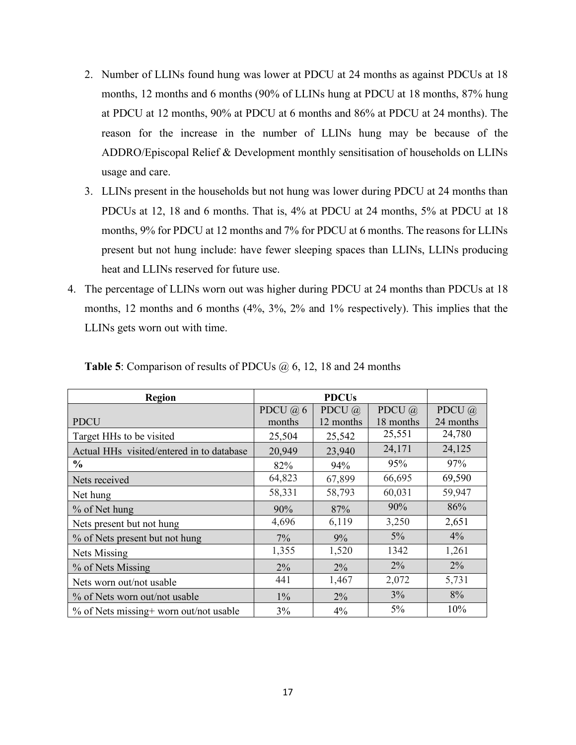- 2. Number of LLINs found hung was lower at PDCU at 24 months as against PDCUs at 18 months, 12 months and 6 months (90% of LLINs hung at PDCU at 18 months, 87% hung at PDCU at 12 months, 90% at PDCU at 6 months and 86% at PDCU at 24 months). The reason for the increase in the number of LLINs hung may be because of the ADDRO/Episcopal Relief & Development monthly sensitisation of households on LLINs usage and care.
- 3. LLINs present in the households but not hung was lower during PDCU at 24 months than PDCUs at 12, 18 and 6 months. That is, 4% at PDCU at 24 months, 5% at PDCU at 18 months, 9% for PDCU at 12 months and 7% for PDCU at 6 months. The reasons for LLINs present but not hung include: have fewer sleeping spaces than LLINs, LLINs producing heat and LLINs reserved for future use.
- 4. The percentage of LLINs worn out was higher during PDCU at 24 months than PDCUs at 18 months, 12 months and 6 months (4%, 3%, 2% and 1% respectively). This implies that the LLINs gets worn out with time.

| <b>Region</b>                             |           | <b>PDCUs</b> |               |           |
|-------------------------------------------|-----------|--------------|---------------|-----------|
|                                           | PDCU $@6$ | PDCU $@$     | PDCU $\omega$ | PDCU $@$  |
| <b>PDCU</b>                               | months    | 12 months    | 18 months     | 24 months |
| Target HHs to be visited                  | 25,504    | 25,542       | 25,551        | 24,780    |
| Actual HHs visited/entered in to database | 20,949    | 23,940       | 24,171        | 24,125    |
| $\frac{6}{9}$                             | 82%       | 94%          | 95%           | 97%       |
| Nets received                             | 64,823    | 67,899       | 66,695        | 69,590    |
| Net hung                                  | 58,331    | 58,793       | 60,031        | 59,947    |
| % of Net hung                             | 90%       | 87%          | 90%           | 86%       |
| Nets present but not hung                 | 4,696     | 6,119        | 3,250         | 2,651     |
| % of Nets present but not hung            | $7\%$     | 9%           | $5\%$         | 4%        |
| Nets Missing                              | 1,355     | 1,520        | 1342          | 1,261     |
| % of Nets Missing                         | $2\%$     | $2\%$        | $2\%$         | 2%        |
| Nets worn out/not usable                  | 441       | 1,467        | 2,072         | 5,731     |
| % of Nets worn out/not usable             | $1\%$     | 2%           | 3%            | 8%        |
| % of Nets missing+ worn out/not usable    | 3%        | 4%           | $5\%$         | 10%       |

**Table 5**: Comparison of results of PDCUs @ 6, 12, 18 and 24 months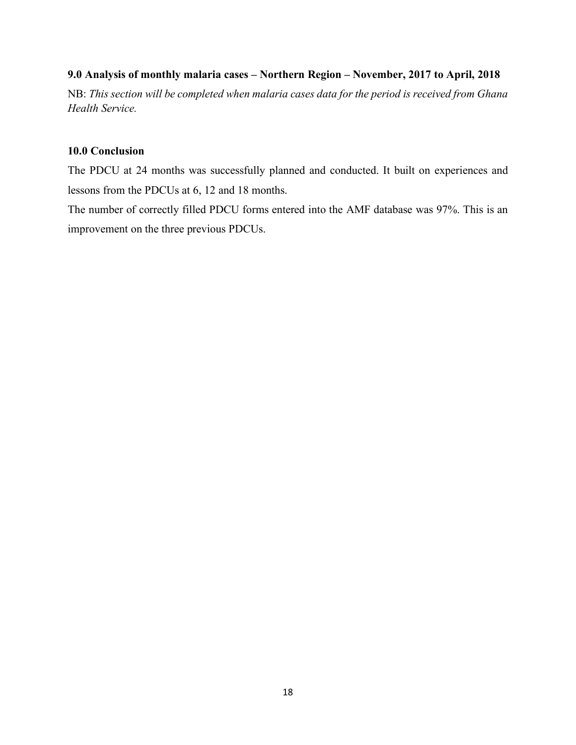### **9.0 Analysis of monthly malaria cases – Northern Region – November, 2017 to April, 2018**

NB: *This section will be completed when malaria cases data for the period is received from Ghana Health Service.*

### **10.0 Conclusion**

The PDCU at 24 months was successfully planned and conducted. It built on experiences and lessons from the PDCUs at 6, 12 and 18 months.

The number of correctly filled PDCU forms entered into the AMF database was 97%. This is an improvement on the three previous PDCUs.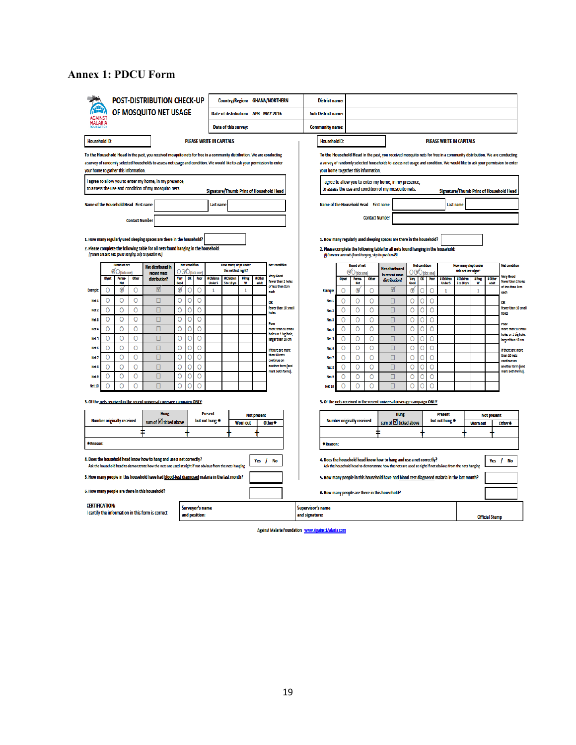# **Annex 1: PDCU Form**

|                                       |        |                                   |                       | <b>POST-DISTRIBUTION CHECK-UP</b>                                                                                                                                                                                                                  |        |                      |                                  |                                  |                                         |                 |                    | Country/Region: GHANA/NORTHERN             | <b>District name:</b>               |         |                                                                                    |                       |                                                                                                                                                                                                                                                    |               |                       |         |                                  |                                              |                     |                       |                                            |
|---------------------------------------|--------|-----------------------------------|-----------------------|----------------------------------------------------------------------------------------------------------------------------------------------------------------------------------------------------------------------------------------------------|--------|----------------------|----------------------------------|----------------------------------|-----------------------------------------|-----------------|--------------------|--------------------------------------------|-------------------------------------|---------|------------------------------------------------------------------------------------|-----------------------|----------------------------------------------------------------------------------------------------------------------------------------------------------------------------------------------------------------------------------------------------|---------------|-----------------------|---------|----------------------------------|----------------------------------------------|---------------------|-----------------------|--------------------------------------------|
|                                       |        |                                   |                       | OF MOSQUITO NET USAGE                                                                                                                                                                                                                              |        |                      |                                  |                                  | Date of distribution: APR - MAY 2016    |                 |                    |                                            | <b>Sub-District name:</b>           |         |                                                                                    |                       |                                                                                                                                                                                                                                                    |               |                       |         |                                  |                                              |                     |                       |                                            |
| MALARIA                               |        |                                   |                       |                                                                                                                                                                                                                                                    |        |                      |                                  |                                  | Date of this survey:                    |                 |                    |                                            | <b>Community name:</b>              |         |                                                                                    |                       |                                                                                                                                                                                                                                                    |               |                       |         |                                  |                                              |                     |                       |                                            |
| <b>Household ID:</b>                  |        |                                   |                       |                                                                                                                                                                                                                                                    |        |                      |                                  | <b>PLEASE WRITE IN CAPITALS</b>  |                                         |                 |                    |                                            | HouseholdID:                        |         |                                                                                    |                       |                                                                                                                                                                                                                                                    |               |                       |         |                                  | PLEASE WRITE IN CAPITALS                     |                     |                       |                                            |
|                                       |        |                                   |                       |                                                                                                                                                                                                                                                    |        |                      |                                  |                                  |                                         |                 |                    |                                            |                                     |         |                                                                                    |                       |                                                                                                                                                                                                                                                    |               |                       |         |                                  |                                              |                     |                       |                                            |
|                                       |        |                                   |                       | To the Household Head In the past, you received mosquito nets for free in a community distribution. We are conducting<br>a survey of randomly selected households to assess net usage and condition. We would like to ask your permission to enter |        |                      |                                  |                                  |                                         |                 |                    |                                            |                                     |         |                                                                                    |                       | To the Household Head In the past, you received mosquito nets for free in a community distribution. We are conducting<br>a survey of randomly selected households to assess net usage and condition. We would like to ask your permission to enter |               |                       |         |                                  |                                              |                     |                       |                                            |
| your home to gather this information. |        |                                   |                       |                                                                                                                                                                                                                                                    |        |                      |                                  |                                  |                                         |                 |                    |                                            |                                     |         | your home to gather this information.                                              |                       |                                                                                                                                                                                                                                                    |               |                       |         |                                  |                                              |                     |                       |                                            |
|                                       |        |                                   |                       | I agree to allow you to enter my home, in my presence,<br>to assess the use and condition of my mosquito nets.                                                                                                                                     |        |                      |                                  |                                  | Signature/Thumb Print of Household Head |                 |                    |                                            |                                     |         |                                                                                    |                       | I agree to allow you to enter my home, in my presence,<br>to assess the use and condition of my mosquito nets.                                                                                                                                     |               |                       |         |                                  |                                              |                     |                       | Signature/Thumb Print of Household Head    |
| Name of the Household Head First name |        |                                   |                       |                                                                                                                                                                                                                                                    |        |                      |                                  | <b>Last name</b>                 |                                         |                 |                    |                                            |                                     |         | Name of the Household Head First name                                              |                       |                                                                                                                                                                                                                                                    |               |                       |         |                                  | <b>Last name</b>                             |                     |                       |                                            |
|                                       |        |                                   |                       |                                                                                                                                                                                                                                                    |        |                      |                                  |                                  |                                         |                 |                    |                                            |                                     |         |                                                                                    | <b>Contact Number</b> |                                                                                                                                                                                                                                                    |               |                       |         |                                  |                                              |                     |                       |                                            |
|                                       |        |                                   | <b>Contact Number</b> |                                                                                                                                                                                                                                                    |        |                      |                                  |                                  |                                         |                 |                    |                                            |                                     |         |                                                                                    |                       |                                                                                                                                                                                                                                                    |               |                       |         |                                  |                                              |                     |                       |                                            |
|                                       |        |                                   |                       | 1. How many regularly used sleeping spaces are there in the household?                                                                                                                                                                             |        |                      |                                  |                                  |                                         |                 |                    |                                            |                                     |         |                                                                                    |                       | 1. How many regularly used sleeping spaces are there in the household?                                                                                                                                                                             |               |                       |         |                                  |                                              |                     |                       |                                            |
|                                       |        |                                   |                       | 2. Please complete the following table for all nets found hanging in the household:                                                                                                                                                                |        |                      |                                  |                                  |                                         |                 |                    |                                            |                                     |         |                                                                                    |                       | 2. Please complete the following table for all nets found hanging in the household:                                                                                                                                                                |               |                       |         |                                  |                                              |                     |                       |                                            |
|                                       |        | <b>Brand of net</b>               |                       | (If there are zero nets found hanging, skip to question #3)                                                                                                                                                                                        |        | <b>Net condition</b> |                                  |                                  | How many slept under                    |                 |                    | <b>Net condition</b>                       |                                     |         | (If there are zero nets found hanging, skip to question #3)<br><b>Brand of net</b> |                       |                                                                                                                                                                                                                                                    |               | <b>Net condition</b>  |         |                                  |                                              |                     |                       | <b>Net condition</b>                       |
|                                       |        | $\emptyset$ O (tick one           |                       | Net distributed in<br>recent mass                                                                                                                                                                                                                  |        | $\rm{OOO}$ Itick one |                                  |                                  | this net last night?                    |                 |                    | Very Good                                  |                                     |         | O (Itick one)                                                                      |                       | <b>Net distributed</b><br>in recent mass                                                                                                                                                                                                           |               | $O$ CV $O$ (tick one) |         |                                  | How many slept under<br>this net last night? |                     |                       | <b>Very Good</b>                           |
|                                       | Olyse  | Perma-                            | Other                 | distribution?                                                                                                                                                                                                                                      | Very   | OK                   |                                  | <b>Children</b><br><b>Under!</b> | # Children<br>5 to 18 yr                | #Pres           | # Other<br>adul    | fewer than 2 holes<br>of less than 2cm     |                                     | Olyset  | <b>Perma</b><br>Net                                                                | Other                 | distribution?                                                                                                                                                                                                                                      | Very<br>Sean. | OΚ                    |         | # Childre<br><b>Under!</b>       | # Children<br>5 to 18 yrs                    | <b>E Press</b><br>w | # Other<br>adult      | fewer than 2 holes<br>of less than 2cm     |
| Exampl                                | 0      | $\emptyset$                       | O                     | ☑                                                                                                                                                                                                                                                  | ⊛      | o                    | 0                                | $\mathbf{1}$                     |                                         | $\mathbf{1}$    |                    | each                                       | Example                             | O       | ø                                                                                  | O                     | ⊠                                                                                                                                                                                                                                                  | ⊛             | Ō                     | O       | $\mathbf{1}$                     |                                              | $\mathbf{1}$        |                       | each                                       |
| Net:                                  | 0      | Ο                                 | O                     | □                                                                                                                                                                                                                                                  | 0      | Ω                    | 0                                |                                  |                                         |                 |                    | ΩK<br>fewer than 10 small                  | Net:                                | $\circ$ | 0                                                                                  | $\circ$               | □                                                                                                                                                                                                                                                  | O             | O                     | $\circ$ |                                  |                                              |                     |                       | ΩK<br>fewer than 10 small                  |
| Net:                                  | 0      | O<br>O                            | Ō                     | $\Box$                                                                                                                                                                                                                                             | Ō      | C                    | Ō                                |                                  |                                         |                 |                    | hales                                      | Net?                                | Ō       | Ō                                                                                  | Ō                     | $\Box$                                                                                                                                                                                                                                             | Ō             | Ō                     | O       |                                  |                                              |                     |                       | holes                                      |
| Net:                                  | O      | Ō                                 | 0<br>Ō                | $\Box$<br>$\Box$                                                                                                                                                                                                                                   | O<br>Ō | 0                    | 0<br>Ō                           |                                  |                                         |                 |                    | Pool                                       | Net:                                | O       | O                                                                                  | Ō                     | $\Box$<br>$\Box$                                                                                                                                                                                                                                   | 0             | Ō<br>Ō                | 0       |                                  |                                              |                     |                       | Poor                                       |
| Net-                                  | O<br>O | O                                 | O                     | Π                                                                                                                                                                                                                                                  | 0      | 0<br>O               | Ο                                |                                  |                                         |                 |                    | more than 10 small<br>holes or 1 big hole, | Net-<br>Net <sub>3</sub>            | 0       | 0                                                                                  | O                     |                                                                                                                                                                                                                                                    | O             |                       | O       |                                  |                                              |                     |                       | more than 10 small<br>holes or 1 big hole, |
| Net:<br>Net 6                         | 0      | $\circ$                           | $\circ$               | $\Box$                                                                                                                                                                                                                                             | Ō      | Ō                    | Ō                                |                                  |                                         |                 |                    | larger than 10 cm                          |                                     | O<br>O  | 0<br>0                                                                             | O<br>0                | □<br>□                                                                                                                                                                                                                                             | O<br>O        | Ō<br>Ō                | O<br>O  |                                  |                                              |                     |                       | larger than 10 cm                          |
| Net:                                  | O      | O                                 | $\Omega$              | $\Box$                                                                                                                                                                                                                                             | 0      | C                    | 0                                |                                  |                                         |                 |                    | f there are more<br>than 10 nets           | Net 6<br>Net7                       | O       | O                                                                                  | $\Omega$              | п                                                                                                                                                                                                                                                  | 0             | Ō                     | $\circ$ |                                  |                                              |                     |                       | If there are more<br>than 10 nets          |
| Net 9                                 | O      | O                                 | Ō                     | $\Box$                                                                                                                                                                                                                                             | Ō      | O                    | Ō                                |                                  |                                         |                 |                    | continue on<br>another form (and           | <b>Nets</b>                         | O       | O                                                                                  | Ō                     | Π                                                                                                                                                                                                                                                  | O             | O                     | O       |                                  |                                              |                     |                       | continue on<br>another form (and           |
| Net:                                  | 0      | O                                 | 0                     | $\Box$                                                                                                                                                                                                                                             | 0      | 0                    | 0                                |                                  |                                         |                 |                    | mark both forms).                          | Net:                                | O       | 0                                                                                  | O                     | □                                                                                                                                                                                                                                                  | Ο             | 0                     | O       |                                  |                                              |                     |                       | mark both forms).                          |
| <b>Net 10</b>                         | 0      | 0                                 | O                     | $\Box$                                                                                                                                                                                                                                             | O      |                      | С                                |                                  |                                         |                 |                    |                                            | Net 10                              | 0       | Ō                                                                                  | O                     | О                                                                                                                                                                                                                                                  | O             | Ō                     | O       |                                  |                                              |                     |                       |                                            |
|                                       |        |                                   |                       |                                                                                                                                                                                                                                                    |        |                      |                                  |                                  |                                         |                 |                    |                                            |                                     |         |                                                                                    |                       |                                                                                                                                                                                                                                                    |               |                       |         |                                  |                                              |                     |                       |                                            |
|                                       |        |                                   |                       | 3. Of the nets received in the recent universal coverage campaign ONLY:                                                                                                                                                                            |        |                      |                                  |                                  |                                         |                 |                    |                                            |                                     |         |                                                                                    |                       | 3. Of the nets received in the recent universal coverage campaign ONLY:                                                                                                                                                                            |               |                       |         |                                  |                                              |                     |                       |                                            |
|                                       |        | <b>Number originally received</b> |                       | <b>Hung</b>                                                                                                                                                                                                                                        |        |                      |                                  | <b>Present</b><br>but not hung * |                                         |                 | <b>Not present</b> |                                            |                                     |         | <b>Number originally received</b>                                                  |                       | Hung                                                                                                                                                                                                                                               |               |                       |         | <b>Present</b><br>but not hung * |                                              |                     | <b>Not present</b>    |                                            |
|                                       |        |                                   |                       | sum of <b>□</b> ticked above                                                                                                                                                                                                                       |        |                      |                                  |                                  |                                         | <b>Worn out</b> |                    | Other*                                     |                                     |         |                                                                                    |                       | sum of $\boxtimes$ ticked above                                                                                                                                                                                                                    |               |                       |         |                                  |                                              | <b>Worn out</b>     |                       | Other*                                     |
|                                       |        |                                   |                       |                                                                                                                                                                                                                                                    |        |                      |                                  |                                  |                                         |                 |                    |                                            |                                     |         |                                                                                    |                       |                                                                                                                                                                                                                                                    |               |                       |         |                                  |                                              |                     |                       |                                            |
| *Reason:                              |        |                                   |                       |                                                                                                                                                                                                                                                    |        |                      |                                  |                                  |                                         |                 |                    |                                            | *Reason:                            |         |                                                                                    |                       |                                                                                                                                                                                                                                                    |               |                       |         |                                  |                                              |                     |                       |                                            |
|                                       |        |                                   |                       | 4. Does the household head know how to hang and use a net correctly?                                                                                                                                                                               |        |                      |                                  |                                  |                                         |                 | Yes /              | No                                         |                                     |         |                                                                                    |                       | 4. Does the household head know how to hang and use a net correctly?                                                                                                                                                                               |               |                       |         |                                  |                                              |                     | Yes                   | No<br>1                                    |
|                                       |        |                                   |                       | Ask the household head to demonstrate how the nets are used at night if not obvious from the nets hanging                                                                                                                                          |        |                      |                                  |                                  |                                         |                 |                    |                                            |                                     |         |                                                                                    |                       | Ask the household head to demonstrate how the nets are used at night if not obvious from the nets hanging                                                                                                                                          |               |                       |         |                                  |                                              |                     |                       |                                            |
|                                       |        |                                   |                       | 5. How many people in this household have had blood-test diagnosed malaria in the last month?                                                                                                                                                      |        |                      |                                  |                                  |                                         |                 |                    |                                            |                                     |         |                                                                                    |                       | 5. How many people in this household have had blood-test diagnosed malaria in the last month?                                                                                                                                                      |               |                       |         |                                  |                                              |                     |                       |                                            |
|                                       |        |                                   |                       | 6. How many people are there in this household?                                                                                                                                                                                                    |        |                      |                                  |                                  |                                         |                 |                    |                                            |                                     |         |                                                                                    |                       | 6. How many people are there in this household?                                                                                                                                                                                                    |               |                       |         |                                  |                                              |                     |                       |                                            |
| <b>CERTIFICATION:</b>                 |        |                                   |                       | I certify the information in this form is correct                                                                                                                                                                                                  |        |                      | Surveyor's name<br>and position: |                                  |                                         |                 |                    |                                            | Supervisor's name<br>and signature: |         |                                                                                    |                       |                                                                                                                                                                                                                                                    |               |                       |         |                                  |                                              |                     |                       |                                            |
|                                       |        |                                   |                       |                                                                                                                                                                                                                                                    |        |                      |                                  |                                  |                                         |                 |                    |                                            |                                     |         |                                                                                    |                       |                                                                                                                                                                                                                                                    |               |                       |         |                                  |                                              |                     | <b>Official Stamp</b> |                                            |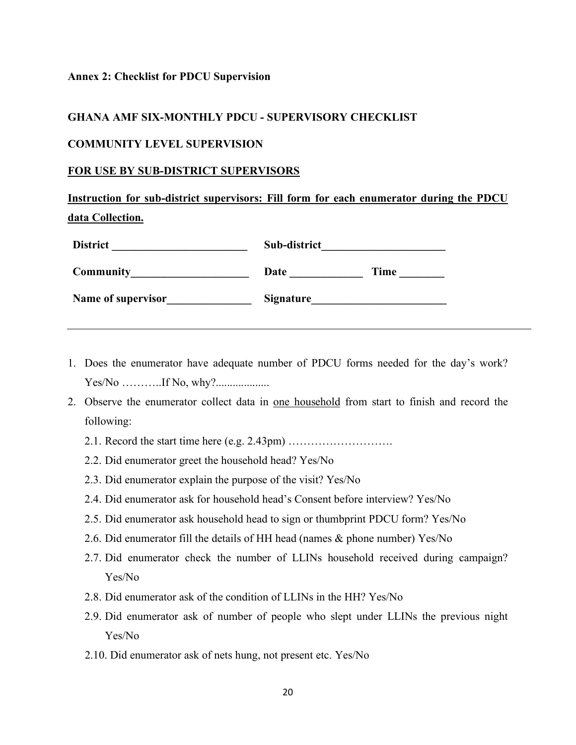#### **Annex 2: Checklist for PDCU Supervision**

### **GHANA AMF SIX-MONTHLY PDCU - SUPERVISORY CHECKLIST**

#### **COMMUNITY LEVEL SUPERVISION**

#### **FOR USE BY SUB-DISTRICT SUPERVISORS**

**Instruction for sub-district supervisors: Fill form for each enumerator during the PDCU data Collection.**

| <b>District</b>    | Sub-district     |             |  |  |  |  |  |
|--------------------|------------------|-------------|--|--|--|--|--|
| Community          | Date             | <b>Time</b> |  |  |  |  |  |
| Name of supervisor | <b>Signature</b> |             |  |  |  |  |  |

- 1. Does the enumerator have adequate number of PDCU forms needed for the day's work? Yes/No ………..If No, why?...................
- 2. Observe the enumerator collect data in one household from start to finish and record the following:
	- 2.1. Record the start time here (e.g. 2.43pm) ……………………….
	- 2.2. Did enumerator greet the household head? Yes/No
	- 2.3. Did enumerator explain the purpose of the visit? Yes/No
	- 2.4. Did enumerator ask for household head's Consent before interview? Yes/No
	- 2.5. Did enumerator ask household head to sign or thumbprint PDCU form? Yes/No
	- 2.6. Did enumerator fill the details of HH head (names & phone number) Yes/No
	- 2.7. Did enumerator check the number of LLINs household received during campaign? Yes/No
	- 2.8. Did enumerator ask of the condition of LLINs in the HH? Yes/No
	- 2.9. Did enumerator ask of number of people who slept under LLINs the previous night Yes/No
	- 2.10. Did enumerator ask of nets hung, not present etc. Yes/No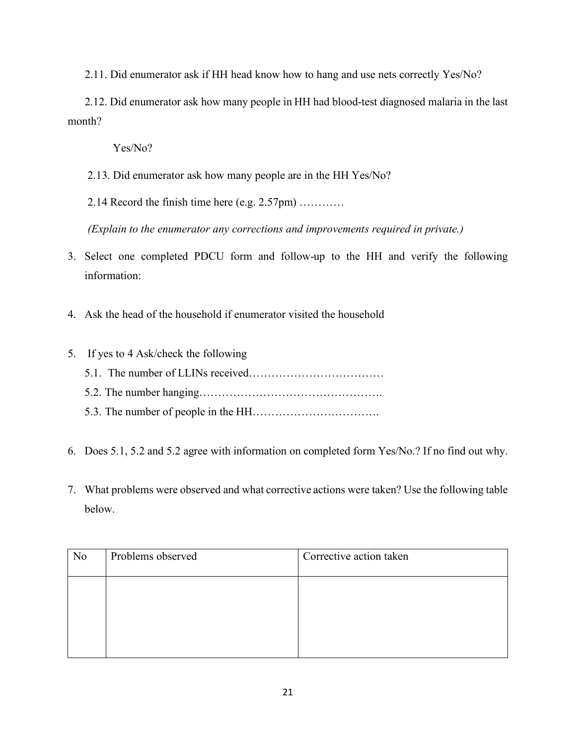2.11. Did enumerator ask if HH head know how to hang and use nets correctly Yes/No?

 2.12. Did enumerator ask how many people in HH had blood-test diagnosed malaria in the last month?

Yes/No?

2.13. Did enumerator ask how many people are in the HH Yes/No?

2.14 Record the finish time here (e.g. 2.57pm) …………

*(Explain to the enumerator any corrections and improvements required in private.)*

- 3. Select one completed PDCU form and follow-up to the HH and verify the following information:
- 4. Ask the head of the household if enumerator visited the household
- 5. If yes to 4 Ask/check the following 5.1. The number of LLINs received……………………………… 5.2. The number hanging…………………………………………. 5.3. The number of people in the HH…………………………….
- 6. Does 5.1, 5.2 and 5.2 agree with information on completed form Yes/No.? If no find out why.
- 7. What problems were observed and what corrective actions were taken? Use the following table below.

| N <sub>0</sub> | Problems observed | Corrective action taken |
|----------------|-------------------|-------------------------|
|                |                   |                         |
|                |                   |                         |
|                |                   |                         |
|                |                   |                         |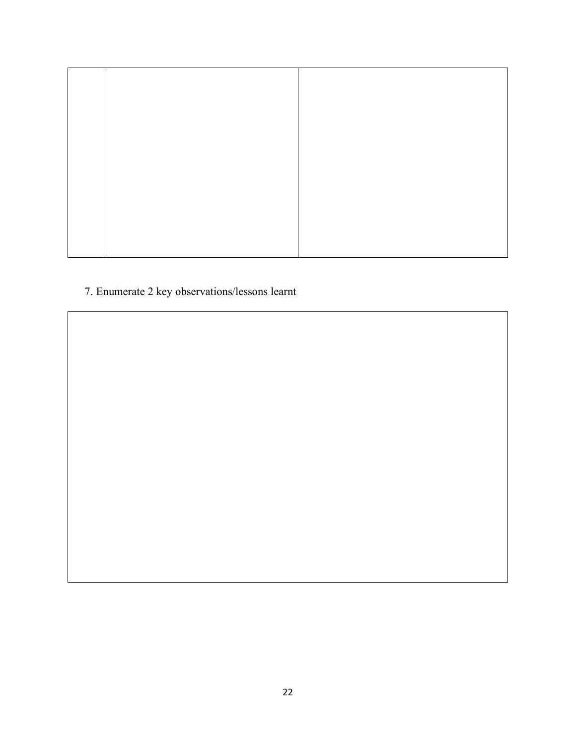7. Enumerate 2 key observations/lessons learnt